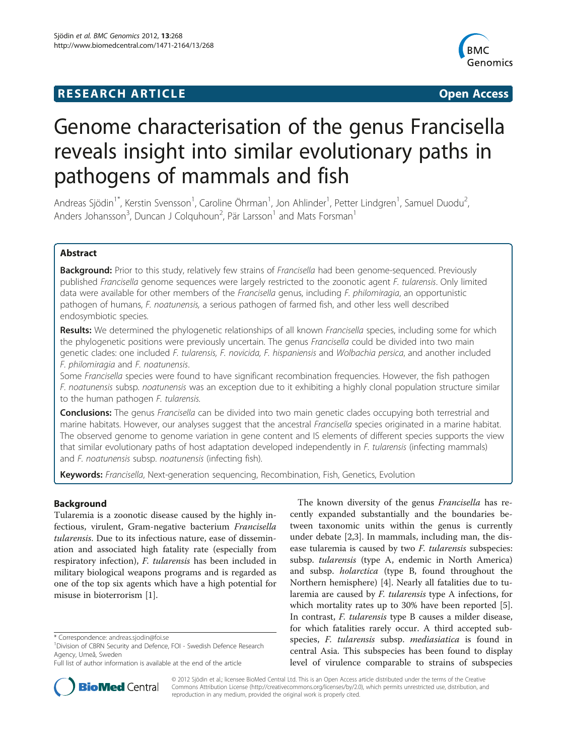## **RESEARCH ARTICLE CONSUMING A RESEARCH ARTICLE**



# Genome characterisation of the genus Francisella reveals insight into similar evolutionary paths in pathogens of mammals and fish

Andreas Sjödin<sup>1\*</sup>, Kerstin Svensson<sup>1</sup>, Caroline Öhrman<sup>1</sup>, Jon Ahlinder<sup>1</sup>, Petter Lindgren<sup>1</sup>, Samuel Duodu<sup>2</sup> , Anders Johansson<sup>3</sup>, Duncan J Colquhoun<sup>2</sup>, Pär Larsson<sup>1</sup> and Mats Forsman<sup>1</sup>

## Abstract

Background: Prior to this study, relatively few strains of Francisella had been genome-sequenced. Previously published Francisella genome sequences were largely restricted to the zoonotic agent F. tularensis. Only limited data were available for other members of the Francisella genus, including F. philomiragia, an opportunistic pathogen of humans, F. noatunensis, a serious pathogen of farmed fish, and other less well described endosymbiotic species.

Results: We determined the phylogenetic relationships of all known Francisella species, including some for which the phylogenetic positions were previously uncertain. The genus Francisella could be divided into two main genetic clades: one included F. tularensis, F. novicida, F. hispaniensis and Wolbachia persica, and another included F. philomiragia and F. noatunensis.

Some Francisella species were found to have significant recombination frequencies. However, the fish pathogen F. noatunensis subsp. noatunensis was an exception due to it exhibiting a highly clonal population structure similar to the human pathogen F. tularensis.

**Conclusions:** The genus Francisella can be divided into two main genetic clades occupying both terrestrial and marine habitats. However, our analyses suggest that the ancestral Francisella species originated in a marine habitat. The observed genome to genome variation in gene content and IS elements of different species supports the view that similar evolutionary paths of host adaptation developed independently in F. tularensis (infecting mammals) and F. noatunensis subsp. noatunensis (infecting fish).

Keywords: Francisella, Next-generation sequencing, Recombination, Fish, Genetics, Evolution

## Background

Tularemia is a zoonotic disease caused by the highly infectious, virulent, Gram-negative bacterium Francisella tularensis. Due to its infectious nature, ease of dissemination and associated high fatality rate (especially from respiratory infection), F. tularensis has been included in military biological weapons programs and is regarded as one of the top six agents which have a high potential for misuse in bioterrorism [[1\]](#page-10-0).





© 2012 Sjödin et al.; licensee BioMed Central Ltd. This is an Open Access article distributed under the terms of the Creative Commons Attribution License [\(http://creativecommons.org/licenses/by/2.0\)](http://creativecommons.org/licenses/by/2.0), which permits unrestricted use, distribution, and reproduction in any medium, provided the original work is properly cited.

<sup>\*</sup> Correspondence: [andreas.sjodin@foi.se](mailto:andreas.sjodin@foi.se) <sup>1</sup>

<sup>&</sup>lt;sup>1</sup> Division of CBRN Security and Defence, FOI - Swedish Defence Research Agency, Umeå, Sweden

Full list of author information is available at the end of the article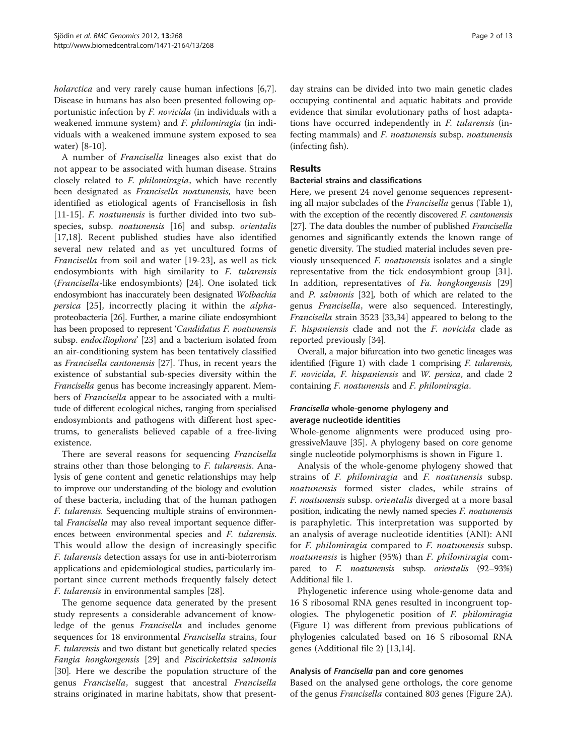holarctica and very rarely cause human infections [\[6,7](#page-10-0)]. Disease in humans has also been presented following opportunistic infection by F. novicida (in individuals with a weakened immune system) and F. philomiragia (in individuals with a weakened immune system exposed to sea water) [\[8](#page-10-0)-[10\]](#page-10-0).

A number of Francisella lineages also exist that do not appear to be associated with human disease. Strains closely related to F. philomiragia, which have recently been designated as Francisella noatunensis, have been identified as etiological agents of Francisellosis in fish [[11-15](#page-10-0)]. *F. noatunensis* is further divided into two subspecies, subsp. *noatunensis* [[16\]](#page-10-0) and subsp. *orientalis* [[17,18\]](#page-10-0). Recent published studies have also identified several new related and as yet uncultured forms of Francisella from soil and water [\[19](#page-10-0)-[23\]](#page-11-0), as well as tick endosymbionts with high similarity to F. tularensis (Francisella-like endosymbionts) [[24\]](#page-11-0). One isolated tick endosymbiont has inaccurately been designated Wolbachia persica [[25\]](#page-11-0), incorrectly placing it within the alphaproteobacteria [\[26](#page-11-0)]. Further, a marine ciliate endosymbiont has been proposed to represent 'Candidatus F. noatunensis subsp. endociliophora' [\[23](#page-11-0)] and a bacterium isolated from an air-conditioning system has been tentatively classified as Francisella cantonensis [[27\]](#page-11-0). Thus, in recent years the existence of substantial sub-species diversity within the Francisella genus has become increasingly apparent. Members of Francisella appear to be associated with a multitude of different ecological niches, ranging from specialised endosymbionts and pathogens with different host spectrums, to generalists believed capable of a free-living existence.

There are several reasons for sequencing Francisella strains other than those belonging to F. tularensis. Analysis of gene content and genetic relationships may help to improve our understanding of the biology and evolution of these bacteria, including that of the human pathogen F. tularensis. Sequencing multiple strains of environmental Francisella may also reveal important sequence differences between environmental species and F. tularensis. This would allow the design of increasingly specific F. tularensis detection assays for use in anti-bioterrorism applications and epidemiological studies, particularly important since current methods frequently falsely detect F. tularensis in environmental samples [[28\]](#page-11-0).

The genome sequence data generated by the present study represents a considerable advancement of knowledge of the genus *Francisella* and includes genome sequences for 18 environmental Francisella strains, four F. tularensis and two distant but genetically related species Fangia hongkongensis [\[29\]](#page-11-0) and Piscirickettsia salmonis [[30\]](#page-11-0). Here we describe the population structure of the genus Francisella, suggest that ancestral Francisella strains originated in marine habitats, show that present-

day strains can be divided into two main genetic clades occupying continental and aquatic habitats and provide evidence that similar evolutionary paths of host adaptations have occurred independently in F. tularensis (infecting mammals) and F. noatunensis subsp. noatunensis (infecting fish).

## Results

#### Bacterial strains and classifications

Here, we present 24 novel genome sequences representing all major subclades of the Francisella genus (Table [1](#page-2-0)), with the exception of the recently discovered F. cantonensis [[27](#page-11-0)]. The data doubles the number of published *Francisella* genomes and significantly extends the known range of genetic diversity. The studied material includes seven previously unsequenced F. noatunensis isolates and a single representative from the tick endosymbiont group [\[31](#page-11-0)]. In addition, representatives of Fa. hongkongensis [[29](#page-11-0)] and P. salmonis [[32](#page-11-0)], both of which are related to the genus Francisella, were also sequenced. Interestingly, Francisella strain 3523 [\[33,34](#page-11-0)] appeared to belong to the F. hispaniensis clade and not the F. novicida clade as reported previously [\[34](#page-11-0)].

Overall, a major bifurcation into two genetic lineages was identified (Figure [1\)](#page-3-0) with clade  $1$  comprising  $F$ . tularensis, F. novicida, F. hispaniensis and W. persica, and clade 2 containing F. noatunensis and F. philomiragia.

## Francisella whole-genome phylogeny and average nucleotide identities

Whole-genome alignments were produced using progressiveMauve [[35\]](#page-11-0). A phylogeny based on core genome single nucleotide polymorphisms is shown in Figure [1.](#page-3-0)

Analysis of the whole-genome phylogeny showed that strains of F. philomiragia and F. noatunensis subsp. noatunensis formed sister clades, while strains of F. noatunensis subsp. orientalis diverged at a more basal position, indicating the newly named species F. noatunensis is paraphyletic. This interpretation was supported by an analysis of average nucleotide identities (ANI): ANI for *F. philomiragia* compared to *F. noatunensis* subsp. noatunensis is higher (95%) than F. philomiragia compared to F. noatunensis subsp. orientalis (92–93%) Additional file [1](#page-10-0).

Phylogenetic inference using whole-genome data and 16 S ribosomal RNA genes resulted in incongruent topologies. The phylogenetic position of F. philomiragia (Figure [1\)](#page-3-0) was different from previous publications of phylogenies calculated based on 16 S ribosomal RNA genes (Additional file [2\)](#page-10-0) [\[13,14\]](#page-10-0).

## Analysis of Francisella pan and core genomes

Based on the analysed gene orthologs, the core genome of the genus Francisella contained 803 genes (Figure [2A](#page-4-0)).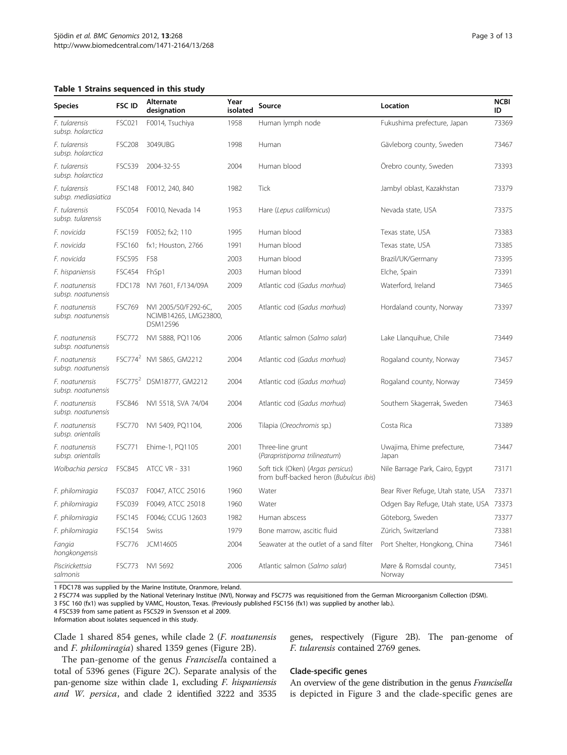#### <span id="page-2-0"></span>Table 1 Strains sequenced in this study

| <b>Species</b>                       | <b>FSC ID</b>       | Alternate<br>designation                                  | Year<br>isolated | Source                                                                      | Location                                | <b>NCBI</b><br>ID |
|--------------------------------------|---------------------|-----------------------------------------------------------|------------------|-----------------------------------------------------------------------------|-----------------------------------------|-------------------|
| F. tularensis<br>subsp. holarctica   | <b>FSC021</b>       | F0014, Tsuchiya                                           | 1958             | Human lymph node                                                            | Fukushima prefecture, Japan             | 73369             |
| F. tularensis<br>subsp. holarctica   | <b>FSC208</b>       | 3049UBG                                                   | 1998             | Human                                                                       | Gävleborg county, Sweden                | 73467             |
| F. tularensis<br>subsp. holarctica   | <b>FSC539</b>       | 2004-32-55                                                | 2004             | Human blood                                                                 | Örebro county, Sweden                   | 73393             |
| F. tularensis<br>subsp. mediasiatica | <b>FSC148</b>       | F0012, 240, 840                                           | 1982             | <b>Tick</b>                                                                 | Jambyl oblast, Kazakhstan               | 73379             |
| F. tularensis<br>subsp. tularensis   | <b>FSC054</b>       | F0010, Nevada 14                                          | 1953             | Hare (Lepus californicus)                                                   | Nevada state, USA                       | 73375             |
| F. novicida                          | <b>FSC159</b>       | F0052; fx2; 110                                           | 1995             | Human blood                                                                 | Texas state, USA                        | 73383             |
| F. novicida                          | <b>FSC160</b>       | fx1; Houston, 2766                                        | 1991             | Human blood                                                                 | Texas state, USA                        | 73385             |
| F. novicida                          | <b>FSC595</b>       | F58                                                       | 2003             | Human blood                                                                 | Brazil/UK/Germany                       | 73395             |
| F. hispaniensis                      | <b>FSC454</b>       | FhSp1                                                     | 2003             | Human blood                                                                 | Elche, Spain                            | 73391             |
| F. noatunensis<br>subsp. noatunensis | FDC178              | NVI 7601, F/134/09A                                       | 2009             | Atlantic cod (Gadus morhua)                                                 | Waterford, Ireland                      | 73465             |
| F. noatunensis<br>subsp. noatunensis | <b>FSC769</b>       | NVI 2005/50/F292-6C,<br>NCIMB14265, LMG23800,<br>DSM12596 | 2005             | Atlantic cod (Gadus morhua)                                                 | Hordaland county, Norway                | 73397             |
| F. noatunensis<br>subsp. noatunensis | <b>FSC772</b>       | NVI 5888, PQ1106                                          | 2006             | Atlantic salmon (Salmo salar)                                               | Lake Llanquihue, Chile                  | 73449             |
| F. noatunensis<br>subsp. noatunensis | FSC774 <sup>2</sup> | NVI 5865, GM2212                                          | 2004             | Atlantic cod (Gadus morhua)                                                 | Rogaland county, Norway                 | 73457             |
| F. noatunensis<br>subsp. noatunensis | FSC775 <sup>2</sup> | DSM18777, GM2212                                          | 2004             | Atlantic cod (Gadus morhua)                                                 | Rogaland county, Norway                 | 73459             |
| F. noatunensis<br>subsp. noatunensis | <b>FSC846</b>       | NVI 5518, SVA 74/04                                       | 2004             | Atlantic cod (Gadus morhua)                                                 | Southern Skagerrak, Sweden              | 73463             |
| F. noatunensis<br>subsp. orientalis  | <b>FSC770</b>       | NVI 5409, PQ1104,                                         | 2006             | Tilapia (Oreochromis sp.)                                                   | Costa Rica                              | 73389             |
| F. noatunensis<br>subsp. orientalis  | <b>FSC771</b>       | Ehime-1, PQ1105                                           | 2001             | Three-line grunt<br>(Parapristipoma trilineatum)                            | Uwajima, Ehime prefecture,<br>Japan     | 73447             |
| Wolbachia persica                    | <b>FSC845</b>       | <b>ATCC VR - 331</b>                                      | 1960             | Soft tick (Oken) (Argas persicus)<br>from buff-backed heron (Bubulcus ibis) | Nile Barrage Park, Cairo, Egypt         | 73171             |
| F. philomiragia                      | <b>FSC037</b>       | F0047, ATCC 25016                                         | 1960             | Water                                                                       | Bear River Refuge, Utah state, USA      | 73371             |
| F. philomiragia                      | <b>FSC039</b>       | F0049, ATCC 25018                                         | 1960             | Water                                                                       | Odgen Bay Refuge, Utah state, USA 73373 |                   |
| F. philomiragia                      | <b>FSC145</b>       | F0046; CCUG 12603                                         | 1982             | Human abscess                                                               | Göteborg, Sweden                        | 73377             |
| F. philomiragia                      | <b>FSC154</b>       | Swiss                                                     | 1979             | Bone marrow, ascitic fluid                                                  | Zürich, Switzerland                     | 73381             |
| Fangia<br>hongkongensis              | <b>FSC776</b>       | JCM14605                                                  | 2004             | Seawater at the outlet of a sand filter                                     | Port Shelter, Hongkong, China           | 73461             |
| Piscirickettsia<br>salmonis          | <b>FSC773</b>       | NVI 5692                                                  | 2006             | Atlantic salmon (Salmo salar)                                               | Møre & Romsdal county,<br>Norway        | 73451             |

1 FDC178 was supplied by the Marine Institute, Oranmore, Ireland.

2 FSC774 was supplied by the National Veterinary Institue (NVI), Norway and FSC775 was requisitioned from the German Microorganism Collection (DSM).

3 FSC 160 (fx1) was supplied by VAMC, Houston, Texas. (Previously published FSC156 (fx1) was supplied by another lab.).

4 FSC539 from same patient as FSC529 in Svensson et al 2009.

Information about isolates sequenced in this study.

Clade 1 shared 854 genes, while clade 2 (F. noatunensis and F. philomiragia) shared 1359 genes (Figure [2B\)](#page-4-0).

genes, respectively (Figure [2B\)](#page-4-0). The pan-genome of F. tularensis contained 2769 genes.

The pan-genome of the genus Francisella contained a total of 5396 genes (Figure [2C](#page-4-0)). Separate analysis of the pan-genome size within clade 1, excluding F. hispaniensis and W. persica, and clade 2 identified 3222 and 3535

#### Clade-specific genes

An overview of the gene distribution in the genus Francisella is depicted in Figure [3](#page-5-0) and the clade-specific genes are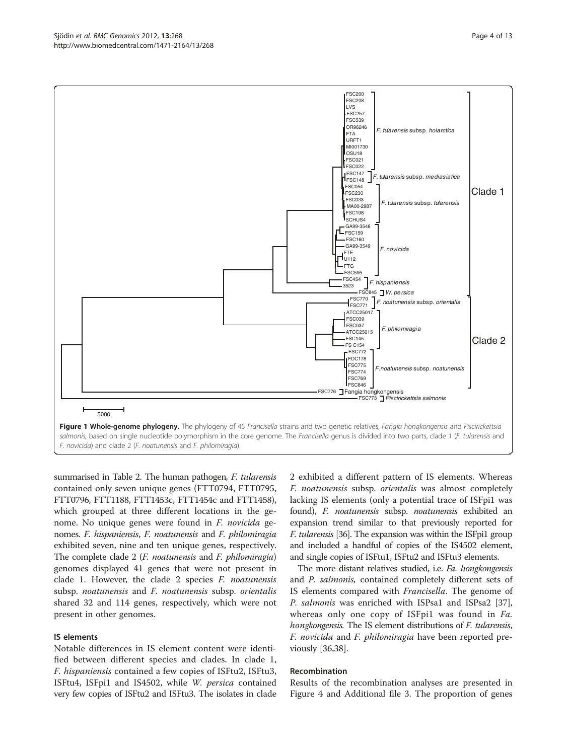<span id="page-3-0"></span>

summarised in Table [2.](#page-6-0) The human pathogen, F. tularensis contained only seven unique genes (FTT0794, FTT0795, FTT0796, FTT1188, FTT1453c, FTT1454c and FTT1458), which grouped at three different locations in the genome. No unique genes were found in F. novicida genomes. F. hispaniensis, F. noatunensis and F. philomiragia exhibited seven, nine and ten unique genes, respectively. The complete clade 2 (*F. noatunensis* and *F. philomiragia*) genomes displayed 41 genes that were not present in clade 1. However, the clade 2 species  $F$ . noatunensis subsp. noatunensis and F. noatunensis subsp. orientalis shared 32 and 114 genes, respectively, which were not present in other genomes.

#### IS elements

Notable differences in IS element content were identified between different species and clades. In clade 1, F. hispaniensis contained a few copies of ISFtu2, ISFtu3, ISFtu4, ISFpi1 and IS4502, while W. persica contained very few copies of ISFtu2 and ISFtu3. The isolates in clade

2 exhibited a different pattern of IS elements. Whereas F. noatunensis subsp. orientalis was almost completely lacking IS elements (only a potential trace of ISFpi1 was found), F. noatunensis subsp. noatunensis exhibited an expansion trend similar to that previously reported for F. tularensis [\[36\]](#page-11-0). The expansion was within the ISFpi1 group and included a handful of copies of the IS4502 element, and single copies of ISFtu1, ISFtu2 and ISFtu3 elements.

The more distant relatives studied, i.e. Fa. hongkongensis and P. salmonis, contained completely different sets of IS elements compared with Francisella. The genome of P. salmonis was enriched with ISPsa1 and ISPsa2 [\[37](#page-11-0)], whereas only one copy of ISFpi1 was found in Fa. hongkongensis. The IS element distributions of *F. tularensis*, F. novicida and F. philomiragia have been reported previously [\[36,38\]](#page-11-0).

#### Recombination

Results of the recombination analyses are presented in Figure [4](#page-7-0) and Additional file [3.](#page-10-0) The proportion of genes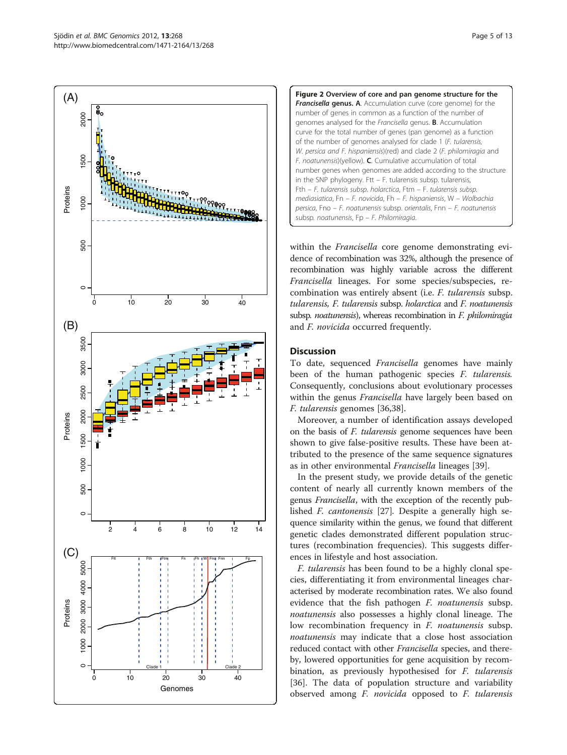<span id="page-4-0"></span>



within the Francisella core genome demonstrating evidence of recombination was 32%, although the presence of recombination was highly variable across the different Francisella lineages. For some species/subspecies, recombination was entirely absent (i.e. F. tularensis subsp. tularensis, F. tularensis subsp. holarctica and F. noatunensis subsp. noatunensis), whereas recombination in F. philomiragia and *F. novicida* occurred frequently.

## **Discussion**

To date, sequenced Francisella genomes have mainly been of the human pathogenic species *F. tularensis*. Consequently, conclusions about evolutionary processes within the genus *Francisella* have largely been based on F. tularensis genomes [\[36,38](#page-11-0)].

Moreover, a number of identification assays developed on the basis of F. tularensis genome sequences have been shown to give false-positive results. These have been attributed to the presence of the same sequence signatures as in other environmental Francisella lineages [\[39](#page-11-0)].

In the present study, we provide details of the genetic content of nearly all currently known members of the genus Francisella, with the exception of the recently published F. cantonensis [\[27](#page-11-0)]. Despite a generally high sequence similarity within the genus, we found that different genetic clades demonstrated different population structures (recombination frequencies). This suggests differences in lifestyle and host association.

F. tularensis has been found to be a highly clonal species, differentiating it from environmental lineages characterised by moderate recombination rates. We also found evidence that the fish pathogen *F. noatunensis* subsp. noatunensis also possesses a highly clonal lineage. The low recombination frequency in *F. noatunensis* subsp. noatunensis may indicate that a close host association reduced contact with other *Francisella* species, and thereby, lowered opportunities for gene acquisition by recombination, as previously hypothesised for F. tularensis [[36\]](#page-11-0). The data of population structure and variability observed among F. novicida opposed to F. tularensis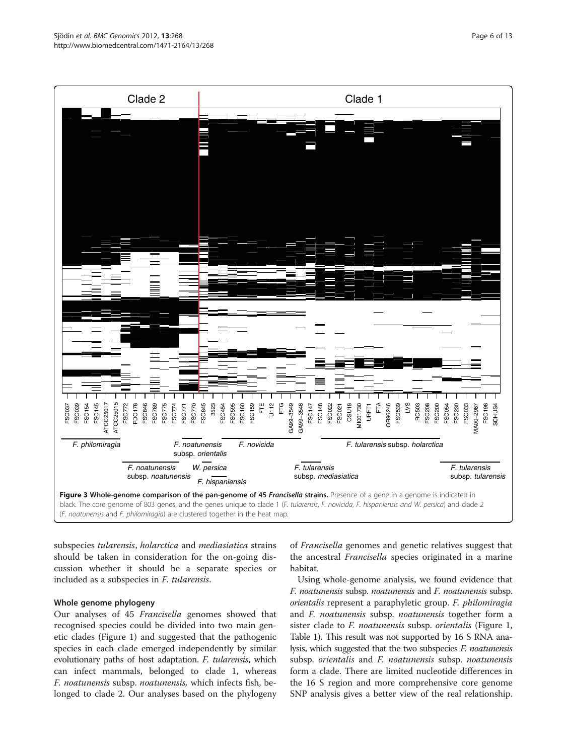<span id="page-5-0"></span>

subspecies tularensis, holarctica and mediasiatica strains should be taken in consideration for the on-going discussion whether it should be a separate species or included as a subspecies in F. tularensis.

#### Whole genome phylogeny

Our analyses of 45 Francisella genomes showed that recognised species could be divided into two main genetic clades (Figure [1\)](#page-3-0) and suggested that the pathogenic species in each clade emerged independently by similar evolutionary paths of host adaptation. F. tularensis, which can infect mammals, belonged to clade 1, whereas F. noatunensis subsp. noatunensis, which infects fish, belonged to clade 2. Our analyses based on the phylogeny

of Francisella genomes and genetic relatives suggest that the ancestral *Francisella* species originated in a marine habitat.

Using whole-genome analysis, we found evidence that F. noatunensis subsp. noatunensis and F. noatunensis subsp. orientalis represent a paraphyletic group. F. philomiragia and F. noatunensis subsp. noatunensis together form a sister clade to *F. noatunensis* subsp. *orientalis* (Figure [1](#page-3-0), Table [1\)](#page-2-0). This result was not supported by 16 S RNA analysis, which suggested that the two subspecies *F. noatunensis* subsp. orientalis and F. noatunensis subsp. noatunensis form a clade. There are limited nucleotide differences in the 16 S region and more comprehensive core genome SNP analysis gives a better view of the real relationship.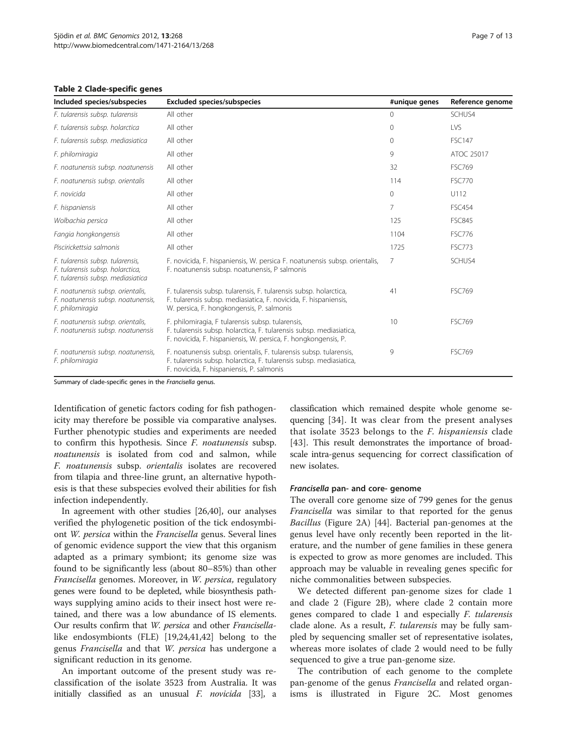<span id="page-6-0"></span>Table 2 Clade-specific genes

| Included species/subspecies                                                                               | <b>Excluded species/subspecies</b>                                                                                                                                                        | #unique genes | Reference genome |
|-----------------------------------------------------------------------------------------------------------|-------------------------------------------------------------------------------------------------------------------------------------------------------------------------------------------|---------------|------------------|
| F. tularensis subsp. tularensis                                                                           | All other                                                                                                                                                                                 | $\Omega$      | SCHUS4           |
| F. tularensis subsp. holarctica                                                                           | All other                                                                                                                                                                                 | $\Omega$      | <b>IVS</b>       |
| F. tularensis subsp. mediasiatica                                                                         | All other                                                                                                                                                                                 | $\Omega$      | <b>FSC147</b>    |
| F. philomiragia                                                                                           | All other                                                                                                                                                                                 | 9             | ATOC 25017       |
| F. noatunensis subsp. noatunensis                                                                         | All other                                                                                                                                                                                 | 32            | <b>FSC769</b>    |
| F. noatunensis subsp. orientalis                                                                          | All other                                                                                                                                                                                 | 114           | <b>FSC770</b>    |
| F. novicida                                                                                               | All other                                                                                                                                                                                 | $\mathbf{0}$  | U112             |
| F. hispaniensis                                                                                           | All other                                                                                                                                                                                 | 7             | <b>FSC454</b>    |
| Wolbachia persica                                                                                         | All other                                                                                                                                                                                 | 125           | <b>FSC845</b>    |
| Fangia hongkongensis                                                                                      | All other                                                                                                                                                                                 | 1104          | <b>FSC776</b>    |
| Piscirickettsia salmonis                                                                                  | All other                                                                                                                                                                                 | 1725          | <b>FSC773</b>    |
| F. tularensis subsp. tularensis,<br>F. tularensis subsp. holarctica,<br>F. tularensis subsp. mediasiatica | F. novicida, F. hispaniensis, W. persica F. noatunensis subsp. orientalis,<br>F. noatunensis subsp. noatunensis, P salmonis                                                               | 7             | SCHUS4           |
| F. noatunensis subsp. orientalis,<br>F. noatunensis subsp. noatunensis,<br>F. philomiragia                | F. tularensis subsp. tularensis, F. tularensis subsp. holarctica,<br>F. tularensis subsp. mediasiatica, F. novicida, F. hispaniensis,<br>W. persica, F. hongkongensis, P. salmonis        | 41            | <b>FSC769</b>    |
| F. noatunensis subsp. orientalis,<br>F. noatunensis subsp. noatunensis                                    | F. philomiragia, F tularensis subsp. tularensis,<br>F. tularensis subsp. holarctica, F. tularensis subsp. mediasiatica,<br>F. novicida, F. hispaniensis, W. persica, F. hongkongensis, P. | 10            | <b>FSC769</b>    |
| F. noatunensis subsp. noatunensis,<br>F. philomiragia                                                     | F. noatunensis subsp. orientalis, F. tularensis subsp. tularensis,<br>F. tularensis subsp. holarctica, F. tularensis subsp. mediasiatica,<br>F. novicida, F. hispaniensis, P. salmonis    | 9             | <b>FSC769</b>    |

Summary of clade-specific genes in the Francisella genus.

Identification of genetic factors coding for fish pathogenicity may therefore be possible via comparative analyses. Further phenotypic studies and experiments are needed to confirm this hypothesis. Since F. noatunensis subsp. noatunensis is isolated from cod and salmon, while F. noatunensis subsp. orientalis isolates are recovered from tilapia and three-line grunt, an alternative hypothesis is that these subspecies evolved their abilities for fish infection independently.

In agreement with other studies [[26,40\]](#page-11-0), our analyses verified the phylogenetic position of the tick endosymbiont W. persica within the Francisella genus. Several lines of genomic evidence support the view that this organism adapted as a primary symbiont; its genome size was found to be significantly less (about 80–85%) than other Francisella genomes. Moreover, in W. persica, regulatory genes were found to be depleted, while biosynthesis pathways supplying amino acids to their insect host were retained, and there was a low abundance of IS elements. Our results confirm that W. persica and other Francisellalike endosymbionts (FLE) [[19,](#page-10-0)[24,41,42\]](#page-11-0) belong to the genus Francisella and that W. persica has undergone a significant reduction in its genome.

An important outcome of the present study was reclassification of the isolate 3523 from Australia. It was initially classified as an unusual F. novicida [\[33\]](#page-11-0), a classification which remained despite whole genome sequencing [[34\]](#page-11-0). It was clear from the present analyses that isolate 3523 belongs to the F. hispaniensis clade [[43](#page-11-0)]. This result demonstrates the importance of broadscale intra-genus sequencing for correct classification of new isolates.

#### Francisella pan- and core- genome

The overall core genome size of 799 genes for the genus Francisella was similar to that reported for the genus Bacillus (Figure [2A](#page-4-0)) [[44](#page-11-0)]. Bacterial pan-genomes at the genus level have only recently been reported in the literature, and the number of gene families in these genera is expected to grow as more genomes are included. This approach may be valuable in revealing genes specific for niche commonalities between subspecies.

We detected different pan-genome sizes for clade 1 and clade 2 (Figure [2B\)](#page-4-0), where clade 2 contain more genes compared to clade 1 and especially F. tularensis clade alone. As a result, *F. tularensis* may be fully sampled by sequencing smaller set of representative isolates, whereas more isolates of clade 2 would need to be fully sequenced to give a true pan-genome size.

The contribution of each genome to the complete pan-genome of the genus *Francisella* and related organisms is illustrated in Figure [2C.](#page-4-0) Most genomes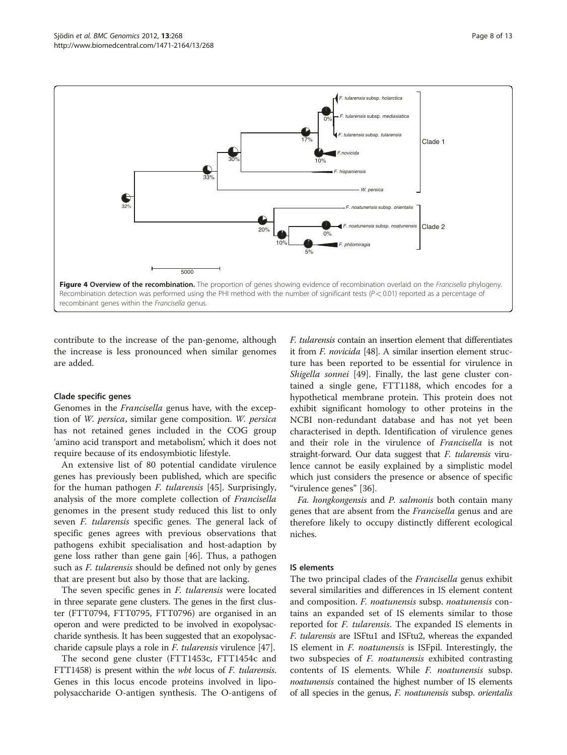<span id="page-7-0"></span>

contribute to the increase of the pan-genome, although the increase is less pronounced when similar genomes are added.

#### Clade specific genes

Genomes in the Francisella genus have, with the exception of W. persica, similar gene composition. W. persica has not retained genes included in the COG group 'amino acid transport and metabolism', which it does not require because of its endosymbiotic lifestyle.

An extensive list of 80 potential candidate virulence genes has previously been published, which are specific for the human pathogen F. tularensis [[45](#page-11-0)]. Surprisingly, analysis of the more complete collection of Francisella genomes in the present study reduced this list to only seven F. tularensis specific genes. The general lack of specific genes agrees with previous observations that pathogens exhibit specialisation and host-adaption by gene loss rather than gene gain [[46](#page-11-0)]. Thus, a pathogen such as *F. tularensis* should be defined not only by genes that are present but also by those that are lacking.

The seven specific genes in *F. tularensis* were located in three separate gene clusters. The genes in the first cluster (FTT0794, FTT0795, FTT0796) are organised in an operon and were predicted to be involved in exopolysaccharide synthesis. It has been suggested that an exopolysaccharide capsule plays a role in F. tularensis virulence [\[47\]](#page-11-0).

The second gene cluster (FTT1453c, FTT1454c and FTT1458) is present within the wbt locus of F. tularensis. Genes in this locus encode proteins involved in lipopolysaccharide O-antigen synthesis. The O-antigens of F. tularensis contain an insertion element that differentiates it from F. novicida [\[48](#page-11-0)]. A similar insertion element structure has been reported to be essential for virulence in Shigella sonnei [[49](#page-11-0)]. Finally, the last gene cluster contained a single gene, FTT1188, which encodes for a hypothetical membrane protein. This protein does not exhibit significant homology to other proteins in the NCBI non-redundant database and has not yet been characterised in depth. Identification of virulence genes and their role in the virulence of Francisella is not straight-forward. Our data suggest that F. tularensis virulence cannot be easily explained by a simplistic model which just considers the presence or absence of specific "virulence genes" [[36\]](#page-11-0).

Fa. hongkongensis and P. salmonis both contain many genes that are absent from the Francisella genus and are therefore likely to occupy distinctly different ecological niches.

#### IS elements

The two principal clades of the Francisella genus exhibit several similarities and differences in IS element content and composition. F. noatunensis subsp. noatunensis contains an expanded set of IS elements similar to those reported for F. tularensis. The expanded IS elements in F. tularensis are ISFtu1 and ISFtu2, whereas the expanded IS element in F. noatunensis is ISFpil. Interestingly, the two subspecies of *F. noatunensis* exhibited contrasting contents of IS elements. While F. noatunensis subsp. noatunensis contained the highest number of IS elements of all species in the genus, F. noatunensis subsp. orientalis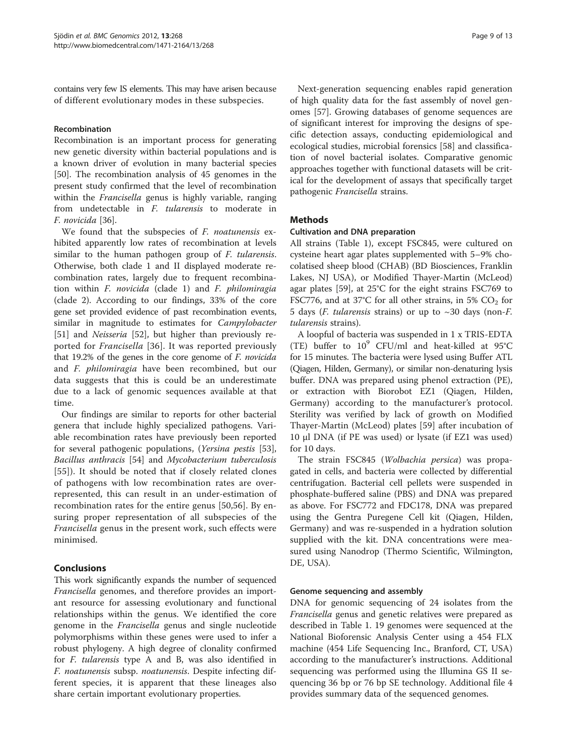contains very few IS elements. This may have arisen because of different evolutionary modes in these subspecies.

#### Recombination

Recombination is an important process for generating new genetic diversity within bacterial populations and is a known driver of evolution in many bacterial species [[50\]](#page-11-0). The recombination analysis of 45 genomes in the present study confirmed that the level of recombination within the *Francisella* genus is highly variable, ranging from undetectable in F. tularensis to moderate in F. novicida [[36](#page-11-0)].

We found that the subspecies of *F. noatunensis* exhibited apparently low rates of recombination at levels similar to the human pathogen group of *F. tularensis*. Otherwise, both clade 1 and II displayed moderate recombination rates, largely due to frequent recombination within F. novicida (clade 1) and F. philomiragia (clade 2). According to our findings, 33% of the core gene set provided evidence of past recombination events, similar in magnitude to estimates for *Campylobacter* [[51\]](#page-11-0) and *Neisseria* [[52](#page-11-0)], but higher than previously reported for Francisella [[36\]](#page-11-0). It was reported previously that 19.2% of the genes in the core genome of F. novicida and F. philomiragia have been recombined, but our data suggests that this is could be an underestimate due to a lack of genomic sequences available at that time.

Our findings are similar to reports for other bacterial genera that include highly specialized pathogens. Variable recombination rates have previously been reported for several pathogenic populations, (Yersina pestis [\[53](#page-11-0)], Bacillus anthracis [[54\]](#page-11-0) and Mycobacterium tuberculosis [[55](#page-11-0)]). It should be noted that if closely related clones of pathogens with low recombination rates are overrepresented, this can result in an under-estimation of recombination rates for the entire genus [[50,56\]](#page-11-0). By ensuring proper representation of all subspecies of the Francisella genus in the present work, such effects were minimised.

## **Conclusions**

This work significantly expands the number of sequenced Francisella genomes, and therefore provides an important resource for assessing evolutionary and functional relationships within the genus. We identified the core genome in the Francisella genus and single nucleotide polymorphisms within these genes were used to infer a robust phylogeny. A high degree of clonality confirmed for F. tularensis type A and B, was also identified in F. noatunensis subsp. noatunensis. Despite infecting different species, it is apparent that these lineages also share certain important evolutionary properties.

Next-generation sequencing enables rapid generation of high quality data for the fast assembly of novel genomes [\[57\]](#page-11-0). Growing databases of genome sequences are of significant interest for improving the designs of specific detection assays, conducting epidemiological and ecological studies, microbial forensics [\[58](#page-11-0)] and classification of novel bacterial isolates. Comparative genomic approaches together with functional datasets will be critical for the development of assays that specifically target pathogenic Francisella strains.

## **Methods**

#### Cultivation and DNA preparation

All strains (Table [1](#page-2-0)), except FSC845, were cultured on cysteine heart agar plates supplemented with 5–9% chocolatised sheep blood (CHAB) (BD Biosciences, Franklin Lakes, NJ USA), or Modified Thayer-Martin (McLeod) agar plates [[59\]](#page-11-0), at 25°C for the eight strains FSC769 to FSC776, and at 37°C for all other strains, in 5%  $CO<sub>2</sub>$  for 5 days (*F. tularensis* strains) or up to  $\sim$  30 days (non-*F.* tularensis strains).

A loopful of bacteria was suspended in 1 x TRIS-EDTA (TE) buffer to  $10^9$  CFU/ml and heat-killed at  $95^{\circ}$ C for 15 minutes. The bacteria were lysed using Buffer ATL (Qiagen, Hilden, Germany), or similar non-denaturing lysis buffer. DNA was prepared using phenol extraction (PE), or extraction with Biorobot EZ1 (Qiagen, Hilden, Germany) according to the manufacturer's protocol. Sterility was verified by lack of growth on Modified Thayer-Martin (McLeod) plates [\[59](#page-11-0)] after incubation of 10 μl DNA (if PE was used) or lysate (if EZ1 was used) for 10 days.

The strain FSC845 (Wolbachia persica) was propagated in cells, and bacteria were collected by differential centrifugation. Bacterial cell pellets were suspended in phosphate-buffered saline (PBS) and DNA was prepared as above. For FSC772 and FDC178, DNA was prepared using the Gentra Puregene Cell kit (Qiagen, Hilden, Germany) and was re-suspended in a hydration solution supplied with the kit. DNA concentrations were measured using Nanodrop (Thermo Scientific, Wilmington, DE, USA).

## Genome sequencing and assembly

DNA for genomic sequencing of 24 isolates from the Francisella genus and genetic relatives were prepared as described in Table [1](#page-2-0). 19 genomes were sequenced at the National Bioforensic Analysis Center using a 454 FLX machine (454 Life Sequencing Inc., Branford, CT, USA) according to the manufacturer's instructions. Additional sequencing was performed using the Illumina GS II sequencing 36 bp or 76 bp SE technology. Additional file [4](#page-10-0) provides summary data of the sequenced genomes.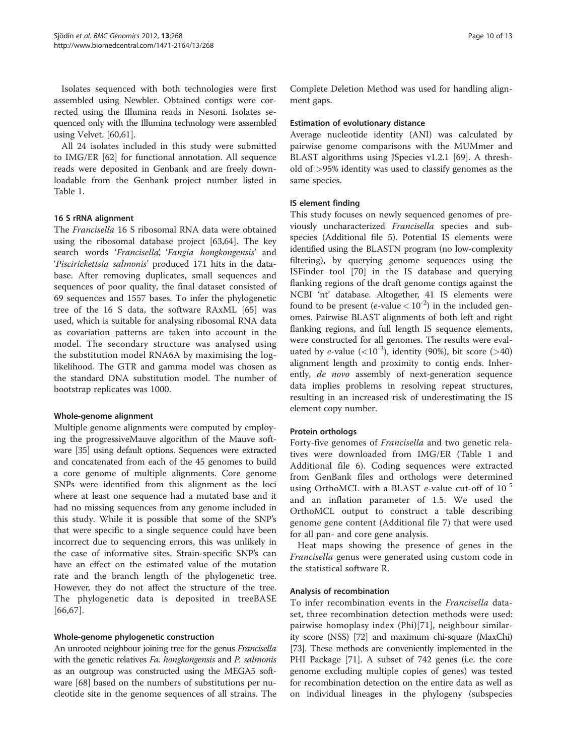Isolates sequenced with both technologies were first assembled using Newbler. Obtained contigs were corrected using the Illumina reads in Nesoni. Isolates sequenced only with the Illumina technology were assembled using Velvet. [\[60,61](#page-11-0)].

All 24 isolates included in this study were submitted to IMG/ER [\[62](#page-11-0)] for functional annotation. All sequence reads were deposited in Genbank and are freely downloadable from the Genbank project number listed in Table [1.](#page-2-0)

#### 16 S rRNA alignment

The Francisella 16 S ribosomal RNA data were obtained using the ribosomal database project [[63](#page-11-0),[64](#page-12-0)]. The key search words 'Francisella', 'Fangia hongkongensis' and 'Piscirickettsia salmonis' produced 171 hits in the database. After removing duplicates, small sequences and sequences of poor quality, the final dataset consisted of 69 sequences and 1557 bases. To infer the phylogenetic tree of the 16 S data, the software RAxML [\[65](#page-12-0)] was used, which is suitable for analysing ribosomal RNA data as covariation patterns are taken into account in the model. The secondary structure was analysed using the substitution model RNA6A by maximising the loglikelihood. The GTR and gamma model was chosen as the standard DNA substitution model. The number of bootstrap replicates was 1000.

## Whole-genome alignment

Multiple genome alignments were computed by employing the progressiveMauve algorithm of the Mauve software [\[35](#page-11-0)] using default options. Sequences were extracted and concatenated from each of the 45 genomes to build a core genome of multiple alignments. Core genome SNPs were identified from this alignment as the loci where at least one sequence had a mutated base and it had no missing sequences from any genome included in this study. While it is possible that some of the SNP's that were specific to a single sequence could have been incorrect due to sequencing errors, this was unlikely in the case of informative sites. Strain-specific SNP's can have an effect on the estimated value of the mutation rate and the branch length of the phylogenetic tree. However, they do not affect the structure of the tree. The phylogenetic data is deposited in treeBASE [[66](#page-12-0),[67\]](#page-12-0).

#### Whole-genome phylogenetic construction

An unrooted neighbour joining tree for the genus Francisella with the genetic relatives Fa. hongkongensis and P. salmonis as an outgroup was constructed using the MEGA5 software [\[68](#page-12-0)] based on the numbers of substitutions per nucleotide site in the genome sequences of all strains. The Complete Deletion Method was used for handling alignment gaps.

#### Estimation of evolutionary distance

Average nucleotide identity (ANI) was calculated by pairwise genome comparisons with the MUMmer and BLAST algorithms using JSpecies v1.2.1 [\[69\]](#page-12-0). A threshold of >95% identity was used to classify genomes as the same species.

## IS element finding

This study focuses on newly sequenced genomes of previously uncharacterized Francisella species and subspecies (Additional file [5](#page-10-0)). Potential IS elements were identified using the BLASTN program (no low-complexity filtering), by querying genome sequences using the ISFinder tool [[70\]](#page-12-0) in the IS database and querying flanking regions of the draft genome contigs against the NCBI 'nt' database. Altogether, 41 IS elements were found to be present (e-value  $< 10^{-2}$ ) in the included genomes. Pairwise BLAST alignments of both left and right flanking regions, and full length IS sequence elements, were constructed for all genomes. The results were evaluated by e-value  $(<10^{-3})$ , identity (90%), bit score (>40) alignment length and proximity to contig ends. Inherently, de novo assembly of next-generation sequence data implies problems in resolving repeat structures, resulting in an increased risk of underestimating the IS element copy number.

## Protein orthologs

Forty-five genomes of Francisella and two genetic relatives were downloaded from IMG/ER (Table [1](#page-2-0) and Additional file 6). Coding sequences were extracted from GenBank files and orthologs were determined using OrthoMCL with a BLAST *e*-value cut-off of  $10^{-5}$ and an inflation parameter of 1.5. We used the OrthoMCL output to construct a table describing genome gene content (Additional file [7](#page-10-0)) that were used for all pan- and core gene analysis.

Heat maps showing the presence of genes in the Francisella genus were generated using custom code in the statistical software R.

#### Analysis of recombination

To infer recombination events in the Francisella dataset, three recombination detection methods were used: pairwise homoplasy index (Phi)[\[71](#page-12-0)], neighbour similarity score (NSS) [\[72\]](#page-12-0) and maximum chi-square (MaxChi) [[73](#page-12-0)]. These methods are conveniently implemented in the PHI Package [[71](#page-12-0)]. A subset of 742 genes (i.e. the core genome excluding multiple copies of genes) was tested for recombination detection on the entire data as well as on individual lineages in the phylogeny (subspecies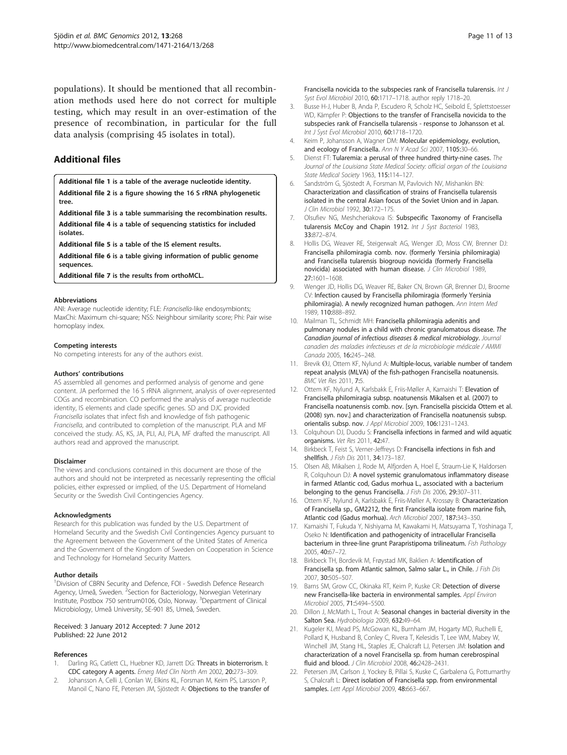<span id="page-10-0"></span>populations). It should be mentioned that all recombination methods used here do not correct for multiple testing, which may result in an over-estimation of the presence of recombination, in particular for the full data analysis (comprising 45 isolates in total).

## Additional files

[Additional file 1](http://www.biomedcentral.com/content/supplementary/1471-2164-13-268-S1.xls) is a table of the average nucleotide identity. [Additional file 2](http://www.biomedcentral.com/content/supplementary/1471-2164-13-268-S2.eps) is a figure showing the 16 S rRNA phylogenetic tree.

[Additional file 3](http://www.biomedcentral.com/content/supplementary/1471-2164-13-268-S3.xls) is a table summarising the recombination results. [Additional file 4](http://www.biomedcentral.com/content/supplementary/1471-2164-13-268-S4.xls) is a table of sequencing statistics for included isolates.

[Additional file 5](http://www.biomedcentral.com/content/supplementary/1471-2164-13-268-S5.xls) is a table of the IS element results.

[Additional file 6](http://www.biomedcentral.com/content/supplementary/1471-2164-13-268-S6.xls) is a table giving information of public genome sequences.

[Additional file 7](http://www.biomedcentral.com/content/supplementary/1471-2164-13-268-S7.txt) is the results from orthoMCL.

#### Abbreviations

ANI: Average nucleotide identity; FLE: Francisella-like endosymbionts; MaxChi: Maximum chi-square; NSS: Neighbour similarity score; Phi: Pair wise homoplasy index.

#### Competing interests

No competing interests for any of the authors exist.

#### Authors' contributions

AS assembled all genomes and performed analysis of genome and gene content. JA performed the 16 S rRNA alignment, analysis of over-represented COGs and recombination. CO performed the analysis of average nucleotide identity, IS elements and clade specific genes. SD and DJC provided Francisella isolates that infect fish and knowledge of fish pathogenic Francisella, and contributed to completion of the manuscript. PLA and MF conceived the study. AS, KS, JA, PLI, AJ, PLA, MF drafted the manuscript. All authors read and approved the manuscript.

#### Disclaimer

The views and conclusions contained in this document are those of the authors and should not be interpreted as necessarily representing the official policies, either expressed or implied, of the U.S. Department of Homeland Security or the Swedish Civil Contingencies Agency.

#### Acknowledgments

Research for this publication was funded by the U.S. Department of Homeland Security and the Swedish Civil Contingencies Agency pursuant to the Agreement between the Government of the United States of America and the Government of the Kingdom of Sweden on Cooperation in Science and Technology for Homeland Security Matters.

#### Author details

<sup>1</sup> Division of CBRN Security and Defence, FOI - Swedish Defence Research Agency, Umeå, Sweden. <sup>2</sup>Section for Bacteriology, Norwegian Veterinary Institute, Postbox 750 sentrum0106, Oslo, Norway. <sup>3</sup> Department of Clinical Microbiology, Umeå University, SE-901 85, Umeå, Sweden.

#### Received: 3 January 2012 Accepted: 7 June 2012 Published: 22 June 2012

#### References

- Darling RG, Catlett CL, Huebner KD, Jarrett DG: Threats in bioterrorism. I: CDC category A agents. Emerg Med Clin North Am 2002, 20:273–309.
- 2. Johansson A, Celli J, Conlan W, Elkins KL, Forsman M, Keim PS, Larsson P, Manoil C, Nano FE, Petersen JM, Sjöstedt A: Objections to the transfer of

Francisella novicida to the subspecies rank of Francisella tularensis. Int J Syst Evol Microbiol 2010, 60:1717–1718. author reply 1718–20.

- 3. Busse H-J, Huber B, Anda P, Escudero R, Scholz HC, Seibold E, Splettstoesser WD, Kämpfer P: Objections to the transfer of Francisella novicida to the subspecies rank of Francisella tularensis - response to Johansson et al. Int J Syst Evol Microbiol 2010, 60:1718-1720.
- 4. Keim P, Johansson A, Wagner DM: Molecular epidemiology, evolution, and ecology of Francisella. Ann N Y Acad Sci 2007, 1105:30-66.
- 5. Dienst FT: Tularemia: a perusal of three hundred thirty-nine cases. The Journal of the Louisiana State Medical Society: official organ of the Louisiana State Medical Society 1963, 115:114–127.
- 6. Sandström G, Sjöstedt A, Forsman M, Pavlovich NV, Mishankin BN: Characterization and classification of strains of Francisella tularensis isolated in the central Asian focus of the Soviet Union and in Japan. J Clin Microbiol 1992, 30:172–175.
- 7. Olsufiev NG, Meshcheriakova IS: Subspecific Taxonomy of Francisella tularensis McCoy and Chapin 1912. Int J Syst Bacteriol 1983, 33:872–874.
- 8. Hollis DG, Weaver RE, Steigerwalt AG, Wenger JD, Moss CW, Brenner DJ: Francisella philomiragia comb. nov. (formerly Yersinia philomiragia) and Francisella tularensis biogroup novicida (formerly Francisella novicida) associated with human disease. J Clin Microbiol 1989, 27:1601–1608.
- 9. Wenger JD, Hollis DG, Weaver RE, Baker CN, Brown GR, Brenner DJ, Broome CV: Infection caused by Francisella philomiragia (formerly Yersinia philomiragia). A newly recognized human pathogen. Ann Intern Med 1989, 110:888–892.
- 10. Mailman TL, Schmidt MH: Francisella philomiragia adenitis and pulmonary nodules in a child with chronic granulomatous disease. The Canadian journal of infectious diseases & medical microbiology. Journal canadien des maladies infectieuses et de la microbiologie médicale / AMMI Canada 2005, 16:245–248.
- 11. Brevik ØJ, Ottem KF, Nylund A: Multiple-locus, variable number of tandem repeat analysis (MLVA) of the fish-pathogen Francisella noatunensis. BMC Vet Res 2011, 7:5.
- 12. Ottem KF, Nylund A, Karlsbakk E, Friis-Møller A, Kamaishi T: Elevation of Francisella philomiragia subsp. noatunensis Mikalsen et al. (2007) to Francisella noatunensis comb. nov. [syn. Francisella piscicida Ottem et al. (2008) syn. nov.] and characterization of Francisella noatunensis subsp. orientalis subsp. nov. J Appl Microbiol 2009, 106:1231–1243.
- 13. Colquhoun DJ, Duodu S: Francisella infections in farmed and wild aquatic organisms. Vet Res 2011, 42:47.
- 14. Birkbeck T, Feist S, Verner-Jeffreys D: Francisella infections in fish and shellfish. J Fish Dis 2011, 34:173–187.
- 15. Olsen AB, Mikalsen J, Rode M, Alfjorden A, Hoel E, Straum-Lie K, Haldorsen R, Colquhoun DJ: A novel systemic granulomatous inflammatory disease in farmed Atlantic cod, Gadus morhua L., associated with a bacterium belonging to the genus Francisella. J Fish Dis 2006, 29:307-311.
- 16. Ottem KF, Nylund A, Karlsbakk E, Friis-Møller A, Krossøy B: Characterization of Francisella sp., GM2212, the first Francisella isolate from marine fish, Atlantic cod (Gadus morhua). Arch Microbiol 2007, 187:343–350.
- 17. Kamaishi T, Fukuda Y, Nishiyama M, Kawakami H, Matsuyama T, Yoshinaga T, Oseko N: Identification and pathogenicity of intracellular Francisella bacterium in three-line grunt Parapristipoma trilineatum. Fish Pathology 2005, 40:67–72.
- 18. Birkbeck TH, Bordevik M, Frøystad MK, Baklien A: Identification of Francisella sp. from Atlantic salmon, Salmo salar L., in Chile. J Fish Dis 2007, 30:505–507.
- 19. Barns SM, Grow CC, Okinaka RT, Keim P, Kuske CR: Detection of diverse new Francisella-like bacteria in environmental samples. Appl Environ Microbiol 2005, 71:5494–5500.
- 20. Dillon J, McMath L, Trout A: Seasonal changes in bacterial diversity in the Salton Sea. Hydrobiologia 2009, 632:49–64.
- 21. Kugeler KJ, Mead PS, McGowan KL, Burnham JM, Hogarty MD, Ruchelli E, Pollard K, Husband B, Conley C, Rivera T, Kelesidis T, Lee WM, Mabey W, Winchell JM, Stang HL, Staples JE, Chalcraft LJ, Petersen JM: Isolation and characterization of a novel Francisella sp. from human cerebrospinal fluid and blood. J Clin Microbiol 2008, 46:2428-2431.
- 22. Petersen JM, Carlson J, Yockey B, Pillai S, Kuske C, Garbalena G, Pottumarthy S, Chalcraft L: Direct isolation of Francisella spp. from environmental samples. Lett Appl Microbiol 2009, 48:663-667.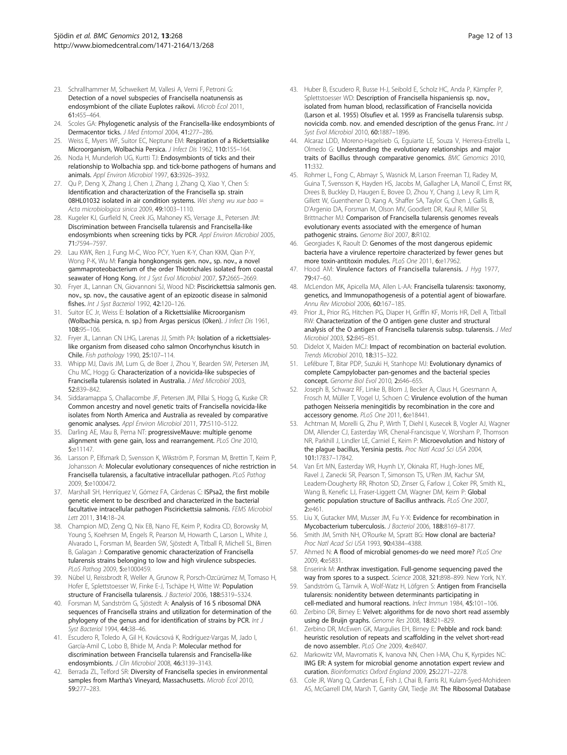- <span id="page-11-0"></span>23. Schrallhammer M, Schweikert M, Vallesi A, Verni F, Petroni G: Detection of a novel subspecies of Francisella noatunensis as endosymbiont of the ciliate Euplotes raikovi. Microb Ecol 2011, 61:455–464.
- 24. Scoles GA: Phylogenetic analysis of the Francisella-like endosymbionts of Dermacentor ticks. J Med Entomol 2004, 41:277–286.
- 25. Weiss E, Myers WF, Suitor EC, Neptune EM: Respiration of a Rickettsialike Microorganism, Wolbachia Persica. J Infect Dis 1962, 110:155–164.
- 26. Noda H, Munderloh UG, Kurtti TJ: Endosymbionts of ticks and their relationship to Wolbachia spp. and tick-borne pathogens of humans and animals. Appl Environ Microbiol 1997, 63:3926–3932.
- 27. Qu P, Deng X, Zhang J, Chen J, Zhang J, Zhang Q, Xiao Y, Chen S: Identification and characterization of the Francisella sp. strain 08HL01032 isolated in air condition systems. Wei sheng wu xue bao = Acta microbiologica sinica 2009, 49:1003–1110.
- 28. Kugeler KJ, Gurfield N, Creek JG, Mahoney KS, Versage JL, Petersen JM: Discrimination between Francisella tularensis and Francisella-like endosymbionts when screening ticks by PCR. Appl Environ Microbiol 2005, 71:7594–7597.
- 29. Lau KWK, Ren J, Fung M-C, Woo PCY, Yuen K-Y, Chan KKM, Qian P-Y, Wong P-K, Wu M: Fangia hongkongensis gen. nov., sp. nov., a novel gammaproteobacterium of the order Thiotrichales isolated from coastal seawater of Hong Kong. Int J Syst Evol Microbiol 2007, 57:2665-2669.
- 30. Fryer JL, Lannan CN, Giovannoni SJ, Wood ND: Piscirickettsia salmonis gen. nov., sp. nov., the causative agent of an epizootic disease in salmonid fishes. Int J Syst Bacteriol 1992, 42:120–126.
- 31. Suitor EC Jr, Weiss E: Isolation of a Rickettsialike Microorganism (Wolbachia persica, n. sp.) from Argas persicus (Oken). J Infect Dis 1961, 108:95–106.
- 32. Fryer JL, Lannan CN LHG, Larenas JJ, Smith PA: Isolation of a rickettsialeslike organism from diseased coho salmon Oncorhynchus kisutch in Chile. Fish pathology 1990, 25:107–114.
- 33. Whipp MJ, Davis JM, Lum G, de Boer J, Zhou Y, Bearden SW, Petersen JM, Chu MC, Hogg G: Characterization of a novicida-like subspecies of Francisella tularensis isolated in Australia. J Med Microbiol 2003, 52:839–842.
- 34. Siddaramappa S, Challacombe JF, Petersen JM, Pillai S, Hogg G, Kuske CR: Common ancestry and novel genetic traits of Francisella novicida-like isolates from North America and Australia as revealed by comparative genomic analyses. Appl Environ Microbiol 2011, 77:5110–5122.
- 35. Darling AE, Mau B, Perna NT: progressiveMauve: multiple genome alignment with gene gain, loss and rearrangement. PLoS One 2010, 5:e11147.
- 36. Larsson P, Elfsmark D, Svensson K, Wikström P, Forsman M, Brettin T, Keim P, Johansson A: Molecular evolutionary consequences of niche restriction in Francisella tularensis, a facultative intracellular pathogen. PLoS Pathog 2009, 5:e1000472.
- 37. Marshall SH, Henríquez V, Gómez FA, Cárdenas C: ISPsa2, the first mobile genetic element to be described and characterized in the bacterial facultative intracellular pathogen Piscirickettsia salmonis. FEMS Microbiol Lett 2011, 314:18–24.
- 38. Champion MD, Zeng Q, Nix EB, Nano FE, Keim P, Kodira CD, Borowsky M, Young S, Koehrsen M, Engels R, Pearson M, Howarth C, Larson L, White J, Alvarado L, Forsman M, Bearden SW, Sjöstedt A, Titball R, Michell SL, Birren B, Galagan J: Comparative genomic characterization of Francisella tularensis strains belonging to low and high virulence subspecies. PLoS Pathog 2009, 5:e1000459.
- 39. Nübel U, Reissbrodt R, Weller A, Grunow R, Porsch-Ozcürümez M, Tomaso H, Hofer E, Splettstoesser W, Finke E-J, Tschäpe H, Witte W: Population structure of Francisella tularensis. J Bacteriol 2006, 188:5319–5324.
- 40. Forsman M, Sandström G, Sjöstedt A: Analysis of 16 S ribosomal DNA sequences of Francisella strains and utilization for determination of the phylogeny of the genus and for identification of strains by PCR. Int J Syst Bacteriol 1994, 44:38–46.
- 41. Escudero R, Toledo A, Gil H, Kovácsová K, Rodríguez-Vargas M, Jado I, García-Amil C, Lobo B, Bhide M, Anda P: Molecular method for discrimination between Francisella tularensis and Francisella-like endosymbionts. J Clin Microbiol 2008, 46:3139–3143.
- 42. Berrada ZL, Telford SR: Diversity of Francisella species in environmental samples from Martha's Vineyard, Massachusetts. Microb Ecol 2010, 59:277–283.
- 43. Huber B, Escudero R, Busse H-J, Seibold E, Scholz HC, Anda P, Kämpfer P, Splettstoesser WD: Description of Francisella hispaniensis sp. nov., isolated from human blood, reclassification of Francisella novicida (Larson et al. 1955) Olsufiev et al. 1959 as Francisella tularensis subsp. novicida comb. nov. and emended description of the genus Franc. Int J Syst Evol Microbiol 2010, 60:1887–1896.
- 44. Alcaraz LDD, Moreno-Hagelsieb G, Eguiarte LE, Souza V, Herrera-Estrella L, Olmedo G: Understanding the evolutionary relationships and major traits of Bacillus through comparative genomics. BMC Genomics 2010, 11:332.
- 45. Rohmer L, Fong C, Abmayr S, Wasnick M, Larson Freeman TJ, Radey M, Guina T, Svensson K, Hayden HS, Jacobs M, Gallagher LA, Manoil C, Ernst RK, Drees B, Buckley D, Haugen E, Bovee D, Zhou Y, Chang J, Levy R, Lim R, Gillett W, Guenthener D, Kang A, Shaffer SA, Taylor G, Chen J, Gallis B, D'Argenio DA, Forsman M, Olson MV, Goodlett DR, Kaul R, Miller SI, Brittnacher MJ: Comparison of Francisella tularensis genomes reveals evolutionary events associated with the emergence of human pathogenic strains. Genome Biol 2007, 8:R102.
- 46. Georgiades K, Raoult D: Genomes of the most dangerous epidemic bacteria have a virulence repertoire characterized by fewer genes but more toxin-antitoxin modules. PLoS One 2011, 6:e17962.
- 47. Hood AM: Virulence factors of Francisella tularensis. J Hyg 1977, 79:47–60.
- 48. McLendon MK, Apicella MA, Allen L-AA: Francisella tularensis: taxonomy, genetics, and Immunopathogenesis of a potential agent of biowarfare. Annu Rev Microbiol 2006, 60:167–185.
- 49. Prior JL, Prior RG, Hitchen PG, Diaper H, Griffin KF, Morris HR, Dell A, Titball RW: Characterization of the O antigen gene cluster and structural analysis of the O antigen of Francisella tularensis subsp. tularensis. J Med Microbiol 2003, 52:845–851.
- 50. Didelot X, Maiden MCJ: Impact of recombination on bacterial evolution. Trends Microbiol 2010, 18:315–322.
- 51. Lefébure T, Bitar PDP, Suzuki H, Stanhope MJ: Evolutionary dynamics of complete Campylobacter pan-genomes and the bacterial species concept. Genome Biol Evol 2010, 2:646–655.
- 52. Joseph B, Schwarz RF, Linke B, Blom J, Becker A, Claus H, Goesmann A, Frosch M, Müller T, Vogel U, Schoen C: Virulence evolution of the human pathogen Neisseria meningitidis by recombination in the core and accessory genome. PLoS One 2011, 6:e18441.
- 53. Achtman M, Morelli G, Zhu P, Wirth T, Diehl I, Kusecek B, Vogler AJ, Wagner DM, Allender CJ, Easterday WR, Chenal-Francisque V, Worsham P, Thomson NR, Parkhill J, Lindler LE, Carniel E, Keim P: Microevolution and history of the plague bacillus, Yersinia pestis. Proc Natl Acad Sci USA 2004, 101:17837–17842.
- 54. Van Ert MN, Easterday WR, Huynh LY, Okinaka RT, Hugh-Jones ME, Ravel J, Zanecki SR, Pearson T, Simonson TS, U'Ren JM, Kachur SM, Leadem-Dougherty RR, Rhoton SD, Zinser G, Farlow J, Coker PR, Smith KL, Wang B, Kenefic LJ, Fraser-Liggett CM, Wagner DM, Keim P: Global genetic population structure of Bacillus anthracis. PLoS One 2007, 2:e461.
- 55. Liu X, Gutacker MM, Musser JM, Fu Y-X: Evidence for recombination in Mycobacterium tuberculosis. J Bacteriol 2006, 188:8169–8177.
- 56. Smith JM, Smith NH, O'Rourke M, Spratt BG: How clonal are bacteria? Proc Natl Acad Sci USA 1993, 90:4384–4388.
- 57. Ahmed N: A flood of microbial genomes-do we need more? PLoS One 2009, 4:e5831.
- 58. Enserink M: Anthrax investigation. Full-genome sequencing paved the way from spores to a suspect. Science 2008, 321:898–899. New York, N.Y.
- 59. Sandström G, Tärnvik A, Wolf-Watz H, Löfgren S: Antigen from Francisella tularensis: nonidentity between determinants participating in cell-mediated and humoral reactions. Infect Immun 1984, 45:101–106.
- 60. Zerbino DR, Birney E: Velvet: algorithms for de novo short read assembly using de Bruijn graphs. Genome Res 2008, 18:821–829.
- 61. Zerbino DR, McEwen GK, Margulies EH, Birney E: Pebble and rock band: heuristic resolution of repeats and scaffolding in the velvet short-read de novo assembler. PLoS One 2009, 4:e8407.
- 62. Markowitz VM, Mavromatis K, Ivanova NN, Chen I-MA, Chu K, Kyrpides NC: IMG ER: A system for microbial genome annotation expert review and curation. Bioinformatics Oxford England 2009, 25:2271–2278.
- 63. Cole JR, Wang Q, Cardenas E, Fish J, Chai B, Farris RJ, Kulam-Syed-Mohideen AS, McGarrell DM, Marsh T, Garrity GM, Tiedje JM: The Ribosomal Database